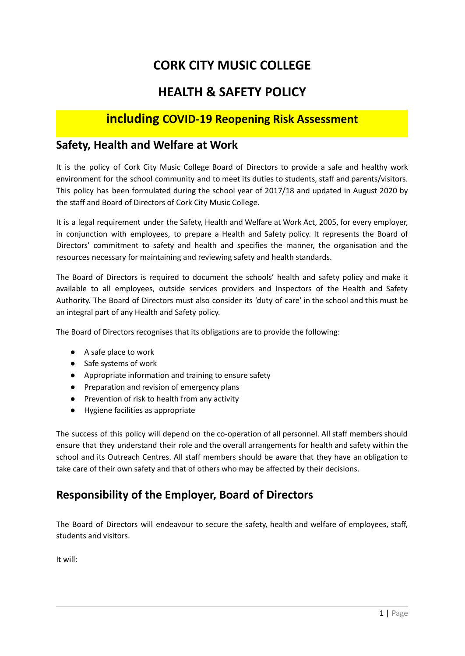## **CORK CITY MUSIC COLLEGE**

## **HEALTH & SAFETY POLICY**

## **including COVID-19 Reopening Risk Assessment**

### **Safety, Health and Welfare at Work**

It is the policy of Cork City Music College Board of Directors to provide a safe and healthy work environment for the school community and to meet its duties to students, staff and parents/visitors. This policy has been formulated during the school year of 2017/18 and updated in August 2020 by the staff and Board of Directors of Cork City Music College.

It is a legal requirement under the Safety, Health and Welfare at Work Act, 2005, for every employer, in conjunction with employees, to prepare a Health and Safety policy. It represents the Board of Directors' commitment to safety and health and specifies the manner, the organisation and the resources necessary for maintaining and reviewing safety and health standards.

The Board of Directors is required to document the schools' health and safety policy and make it available to all employees, outside services providers and Inspectors of the Health and Safety Authority. The Board of Directors must also consider its 'duty of care' in the school and this must be an integral part of any Health and Safety policy.

The Board of Directors recognises that its obligations are to provide the following:

- A safe place to work
- Safe systems of work
- Appropriate information and training to ensure safety
- Preparation and revision of emergency plans
- Prevention of risk to health from any activity
- Hygiene facilities as appropriate

The success of this policy will depend on the co-operation of all personnel. All staff members should ensure that they understand their role and the overall arrangements for health and safety within the school and its Outreach Centres. All staff members should be aware that they have an obligation to take care of their own safety and that of others who may be affected by their decisions.

## **Responsibility of the Employer, Board of Directors**

The Board of Directors will endeavour to secure the safety, health and welfare of employees, staff, students and visitors.

It will: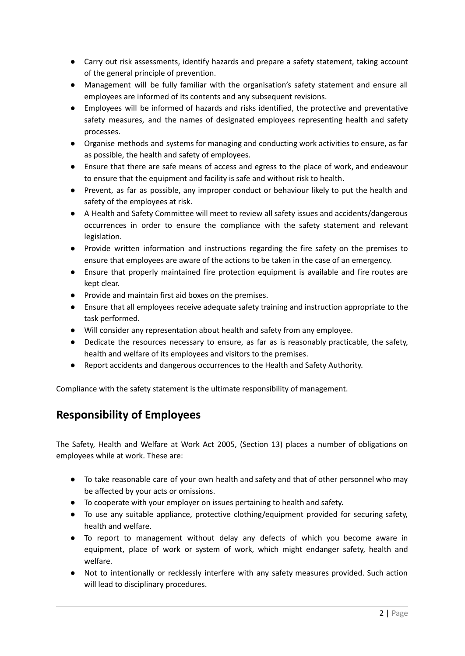- Carry out risk assessments, identify hazards and prepare a safety statement, taking account of the general principle of prevention.
- Management will be fully familiar with the organisation's safety statement and ensure all employees are informed of its contents and any subsequent revisions.
- Employees will be informed of hazards and risks identified, the protective and preventative safety measures, and the names of designated employees representing health and safety processes.
- Organise methods and systems for managing and conducting work activities to ensure, as far as possible, the health and safety of employees.
- Ensure that there are safe means of access and egress to the place of work, and endeavour to ensure that the equipment and facility is safe and without risk to health.
- Prevent, as far as possible, any improper conduct or behaviour likely to put the health and safety of the employees at risk.
- A Health and Safety Committee will meet to review all safety issues and accidents/dangerous occurrences in order to ensure the compliance with the safety statement and relevant legislation.
- Provide written information and instructions regarding the fire safety on the premises to ensure that employees are aware of the actions to be taken in the case of an emergency.
- Ensure that properly maintained fire protection equipment is available and fire routes are kept clear.
- Provide and maintain first aid boxes on the premises.
- Ensure that all employees receive adequate safety training and instruction appropriate to the task performed.
- Will consider any representation about health and safety from any employee.
- Dedicate the resources necessary to ensure, as far as is reasonably practicable, the safety, health and welfare of its employees and visitors to the premises.
- Report accidents and dangerous occurrences to the Health and Safety Authority.

Compliance with the safety statement is the ultimate responsibility of management.

## **Responsibility of Employees**

The Safety, Health and Welfare at Work Act 2005, (Section 13) places a number of obligations on employees while at work. These are:

- To take reasonable care of your own health and safety and that of other personnel who may be affected by your acts or omissions.
- To cooperate with your employer on issues pertaining to health and safety.
- To use any suitable appliance, protective clothing/equipment provided for securing safety, health and welfare.
- To report to management without delay any defects of which you become aware in equipment, place of work or system of work, which might endanger safety, health and welfare.
- Not to intentionally or recklessly interfere with any safety measures provided. Such action will lead to disciplinary procedures.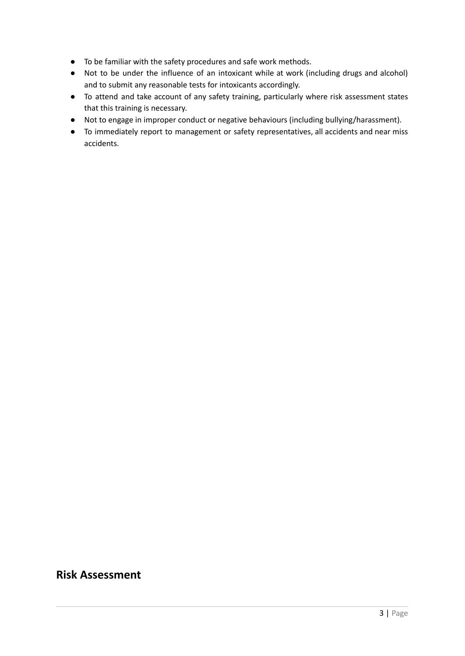- To be familiar with the safety procedures and safe work methods.
- Not to be under the influence of an intoxicant while at work (including drugs and alcohol) and to submit any reasonable tests for intoxicants accordingly.
- To attend and take account of any safety training, particularly where risk assessment states that this training is necessary.
- Not to engage in improper conduct or negative behaviours (including bullying/harassment).
- To immediately report to management or safety representatives, all accidents and near miss accidents.

## **Risk Assessment**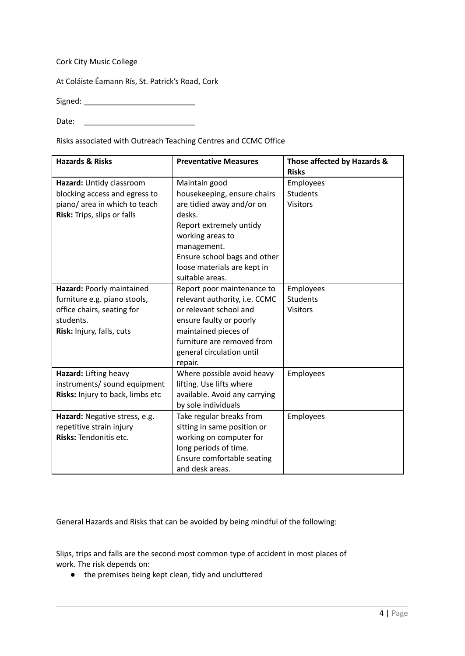Cork City Music College

At Coláiste Éamann Rís, St. Patrick's Road, Cork

Signed: \_\_\_\_\_\_\_\_\_\_\_\_\_\_\_\_\_\_\_\_\_\_\_\_\_\_

Date: \_\_\_\_\_\_\_\_\_\_\_\_\_\_\_\_\_\_\_\_\_\_\_\_\_\_

Risks associated with Outreach Teaching Centres and CCMC Office

| <b>Hazards &amp; Risks</b>                                                                                                        | <b>Preventative Measures</b>                                                                                                                                                                                                        | Those affected by Hazards &<br><b>Risks</b>     |
|-----------------------------------------------------------------------------------------------------------------------------------|-------------------------------------------------------------------------------------------------------------------------------------------------------------------------------------------------------------------------------------|-------------------------------------------------|
| Hazard: Untidy classroom<br>blocking access and egress to<br>piano/ area in which to teach<br>Risk: Trips, slips or falls         | Maintain good<br>housekeeping, ensure chairs<br>are tidied away and/or on<br>desks.<br>Report extremely untidy<br>working areas to<br>management.<br>Ensure school bags and other<br>loose materials are kept in<br>suitable areas. | Employees<br><b>Students</b><br><b>Visitors</b> |
| Hazard: Poorly maintained<br>furniture e.g. piano stools,<br>office chairs, seating for<br>students.<br>Risk: Injury, falls, cuts | Report poor maintenance to<br>relevant authority, i.e. CCMC<br>or relevant school and<br>ensure faulty or poorly<br>maintained pieces of<br>furniture are removed from<br>general circulation until<br>repair.                      | Employees<br><b>Students</b><br><b>Visitors</b> |
| Hazard: Lifting heavy<br>instruments/ sound equipment<br>Risks: Injury to back, limbs etc                                         | Where possible avoid heavy<br>lifting. Use lifts where<br>available. Avoid any carrying<br>by sole individuals                                                                                                                      | Employees                                       |
| Hazard: Negative stress, e.g.<br>repetitive strain injury<br>Risks: Tendonitis etc.                                               | Take regular breaks from<br>sitting in same position or<br>working on computer for<br>long periods of time.<br>Ensure comfortable seating<br>and desk areas.                                                                        | Employees                                       |

General Hazards and Risks that can be avoided by being mindful of the following:

Slips, trips and falls are the second most common type of accident in most places of work. The risk depends on:

● the premises being kept clean, tidy and uncluttered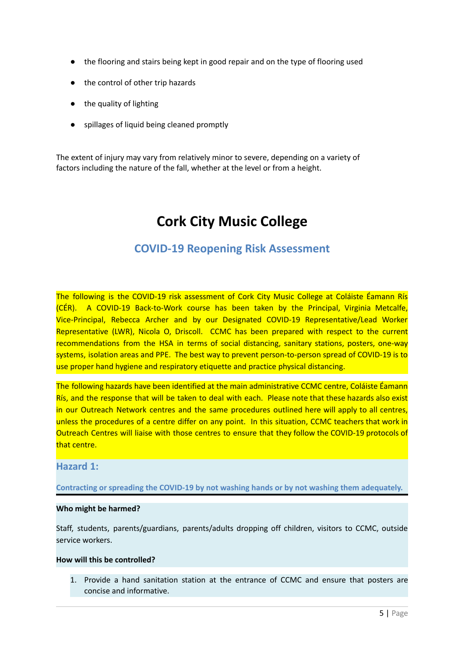- the flooring and stairs being kept in good repair and on the type of flooring used
- the control of other trip hazards
- the quality of lighting
- spillages of liquid being cleaned promptly

The extent of injury may vary from relatively minor to severe, depending on a variety of factors including the nature of the fall, whether at the level or from a height.

# **Cork City Music College**

## **COVID-19 Reopening Risk Assessment**

The following is the COVID-19 risk assessment of Cork City Music College at Coláiste Éamann Rís (CÉR). A COVID-19 Back-to-Work course has been taken by the Principal, Virginia Metcalfe, Vice-Principal, Rebecca Archer and by our Designated COVID-19 Representative/Lead Worker Representative (LWR), Nicola O, Driscoll. CCMC has been prepared with respect to the current recommendations from the HSA in terms of social distancing, sanitary stations, posters, one-way systems, isolation areas and PPE. The best way to prevent person-to-person spread of COVID-19 is to use proper hand hygiene and respiratory etiquette and practice physical distancing.

The following hazards have been identified at the main administrative CCMC centre, Coláiste Éamann Rís, and the response that will be taken to deal with each. Please note that these hazards also exist in our Outreach Network centres and the same procedures outlined here will apply to all centres, unless the procedures of a centre differ on any point. In this situation, CCMC teachers that work in Outreach Centres will liaise with those centres to ensure that they follow the COVID-19 protocols of that centre

### **Hazard 1:**

**Contracting or spreading the COVID-19 by not washing hands or by not washing them adequately.**

### **Who might be harmed?**

Staff, students, parents/guardians, parents/adults dropping off children, visitors to CCMC, outside service workers.

### **How will this be controlled?**

1. Provide a hand sanitation station at the entrance of CCMC and ensure that posters are concise and informative.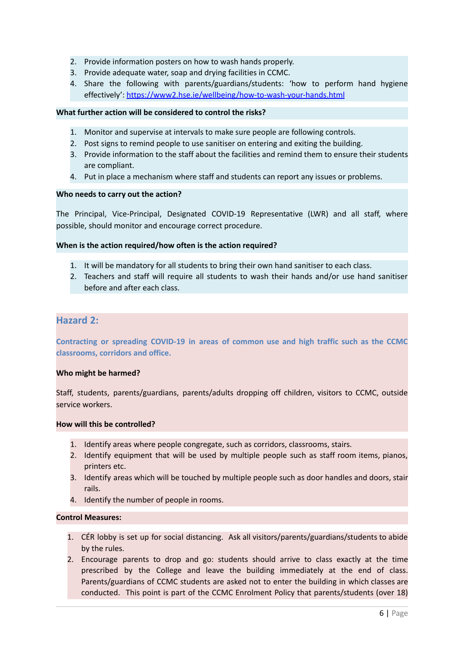- 2. Provide information posters on how to wash hands properly.
- 3. Provide adequate water, soap and drying facilities in CCMC.
- 4. Share the following with parents/guardians/students: 'how to perform hand hygiene effectively': <https://www2.hse.ie/wellbeing/how-to-wash-your-hands.html>

### **What further action will be considered to control the risks?**

- 1. Monitor and supervise at intervals to make sure people are following controls.
- 2. Post signs to remind people to use sanitiser on entering and exiting the building.
- 3. Provide information to the staff about the facilities and remind them to ensure their students are compliant.
- 4. Put in place a mechanism where staff and students can report any issues or problems.

### **Who needs to carry out the action?**

The Principal, Vice-Principal, Designated COVID-19 Representative (LWR) and all staff, where possible, should monitor and encourage correct procedure.

### **When is the action required/how often is the action required?**

- 1. It will be mandatory for all students to bring their own hand sanitiser to each class.
- 2. Teachers and staff will require all students to wash their hands and/or use hand sanitiser before and after each class.

### **Hazard 2:**

**Contracting or spreading COVID-19 in areas of common use and high traffic such as the CCMC classrooms, corridors and office.**

### **Who might be harmed?**

Staff, students, parents/guardians, parents/adults dropping off children, visitors to CCMC, outside service workers.

### **How will this be controlled?**

- 1. Identify areas where people congregate, such as corridors, classrooms, stairs.
- 2. Identify equipment that will be used by multiple people such as staff room items, pianos, printers etc.
- 3. Identify areas which will be touched by multiple people such as door handles and doors, stair rails.
- 4. Identify the number of people in rooms.

### **Control Measures:**

- 1. CÉR lobby is set up for social distancing. Ask all visitors/parents/guardians/students to abide by the rules.
- 2. Encourage parents to drop and go: students should arrive to class exactly at the time prescribed by the College and leave the building immediately at the end of class. Parents/guardians of CCMC students are asked not to enter the building in which classes are conducted. This point is part of the CCMC Enrolment Policy that parents/students (over 18)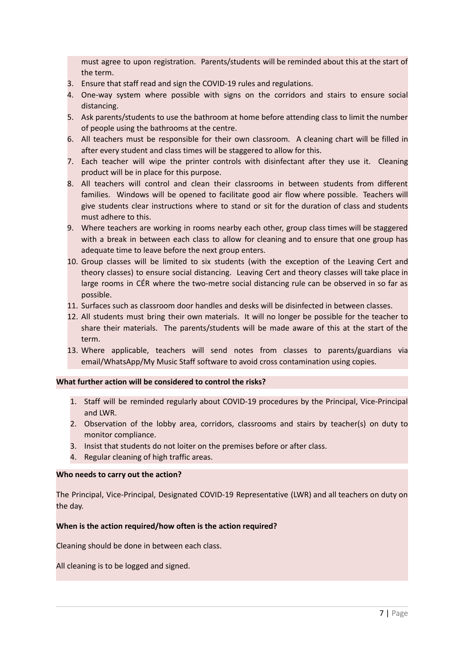must agree to upon registration. Parents/students will be reminded about this at the start of the term.

- 3. Ensure that staff read and sign the COVID-19 rules and regulations.
- 4. One-way system where possible with signs on the corridors and stairs to ensure social distancing.
- 5. Ask parents/students to use the bathroom at home before attending class to limit the number of people using the bathrooms at the centre.
- 6. All teachers must be responsible for their own classroom. A cleaning chart will be filled in after every student and class times will be staggered to allow for this.
- 7. Each teacher will wipe the printer controls with disinfectant after they use it. Cleaning product will be in place for this purpose.
- 8. All teachers will control and clean their classrooms in between students from different families. Windows will be opened to facilitate good air flow where possible. Teachers will give students clear instructions where to stand or sit for the duration of class and students must adhere to this.
- 9. Where teachers are working in rooms nearby each other, group class times will be staggered with a break in between each class to allow for cleaning and to ensure that one group has adequate time to leave before the next group enters.
- 10. Group classes will be limited to six students (with the exception of the Leaving Cert and theory classes) to ensure social distancing. Leaving Cert and theory classes will take place in large rooms in CÉR where the two-metre social distancing rule can be observed in so far as possible.
- 11. Surfaces such as classroom door handles and desks will be disinfected in between classes.
- 12. All students must bring their own materials. It will no longer be possible for the teacher to share their materials. The parents/students will be made aware of this at the start of the term.
- 13. Where applicable, teachers will send notes from classes to parents/guardians via email/WhatsApp/My Music Staff software to avoid cross contamination using copies.

### **What further action will be considered to control the risks?**

- 1. Staff will be reminded regularly about COVID-19 procedures by the Principal, Vice-Principal and LWR.
- 2. Observation of the lobby area, corridors, classrooms and stairs by teacher(s) on duty to monitor compliance.
- 3. Insist that students do not loiter on the premises before or after class.
- 4. Regular cleaning of high traffic areas.

### **Who needs to carry out the action?**

The Principal, Vice-Principal, Designated COVID-19 Representative (LWR) and all teachers on duty on the day.

### **When is the action required/how often is the action required?**

Cleaning should be done in between each class.

All cleaning is to be logged and signed.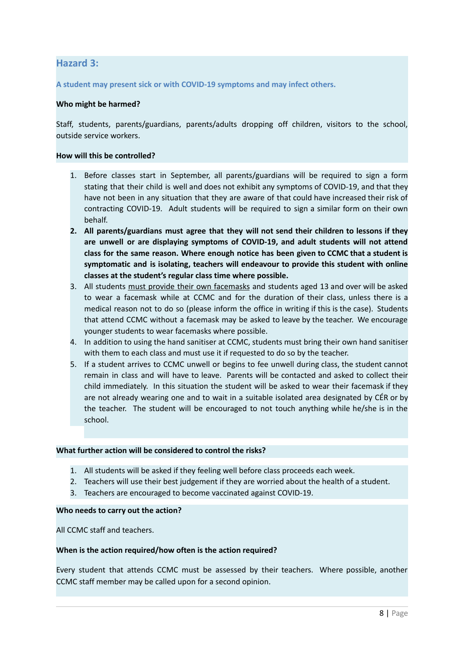### **Hazard 3:**

**A student may present sick or with COVID-19 symptoms and may infect others.**

### **Who might be harmed?**

Staff, students, parents/guardians, parents/adults dropping off children, visitors to the school, outside service workers.

### **How will this be controlled?**

- 1. Before classes start in September, all parents/guardians will be required to sign a form stating that their child is well and does not exhibit any symptoms of COVID-19, and that they have not been in any situation that they are aware of that could have increased their risk of contracting COVID-19. Adult students will be required to sign a similar form on their own behalf.
- **2. All parents/guardians must agree that they will not send their children to lessons if they are unwell or are displaying symptoms of COVID-19, and adult students will not attend class for the same reason. Where enough notice has been given to CCMC that a student is symptomatic and is isolating, teachers will endeavour to provide this student with online classes at the student's regular class time where possible.**
- 3. All students must provide their own facemasks and students aged 13 and over will be asked to wear a facemask while at CCMC and for the duration of their class, unless there is a medical reason not to do so (please inform the office in writing if this is the case). Students that attend CCMC without a facemask may be asked to leave by the teacher. We encourage younger students to wear facemasks where possible.
- 4. In addition to using the hand sanitiser at CCMC, students must bring their own hand sanitiser with them to each class and must use it if requested to do so by the teacher.
- 5. If a student arrives to CCMC unwell or begins to fee unwell during class, the student cannot remain in class and will have to leave. Parents will be contacted and asked to collect their child immediately. In this situation the student will be asked to wear their facemask if they are not already wearing one and to wait in a suitable isolated area designated by CÉR or by the teacher. The student will be encouraged to not touch anything while he/she is in the school.

### **What further action will be considered to control the risks?**

- 1. All students will be asked if they feeling well before class proceeds each week.
- 2. Teachers will use their best judgement if they are worried about the health of a student.
- 3. Teachers are encouraged to become vaccinated against COVID-19.

### **Who needs to carry out the action?**

All CCMC staff and teachers.

### **When is the action required/how often is the action required?**

Every student that attends CCMC must be assessed by their teachers. Where possible, another CCMC staff member may be called upon for a second opinion.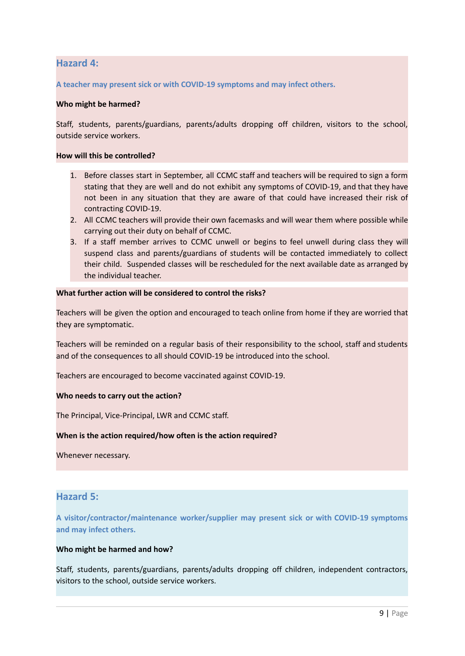### **Hazard 4:**

**A teacher may present sick or with COVID-19 symptoms and may infect others.**

### **Who might be harmed?**

Staff, students, parents/guardians, parents/adults dropping off children, visitors to the school, outside service workers.

### **How will this be controlled?**

- 1. Before classes start in September, all CCMC staff and teachers will be required to sign a form stating that they are well and do not exhibit any symptoms of COVID-19, and that they have not been in any situation that they are aware of that could have increased their risk of contracting COVID-19.
- 2. All CCMC teachers will provide their own facemasks and will wear them where possible while carrying out their duty on behalf of CCMC.
- 3. If a staff member arrives to CCMC unwell or begins to feel unwell during class they will suspend class and parents/guardians of students will be contacted immediately to collect their child. Suspended classes will be rescheduled for the next available date as arranged by the individual teacher.

### **What further action will be considered to control the risks?**

Teachers will be given the option and encouraged to teach online from home if they are worried that they are symptomatic.

Teachers will be reminded on a regular basis of their responsibility to the school, staff and students and of the consequences to all should COVID-19 be introduced into the school.

Teachers are encouraged to become vaccinated against COVID-19.

### **Who needs to carry out the action?**

The Principal, Vice-Principal, LWR and CCMC staff.

### **When is the action required/how often is the action required?**

Whenever necessary.

### **Hazard 5:**

**A visitor/contractor/maintenance worker/supplier may present sick or with COVID-19 symptoms and may infect others.**

### **Who might be harmed and how?**

Staff, students, parents/guardians, parents/adults dropping off children, independent contractors, visitors to the school, outside service workers.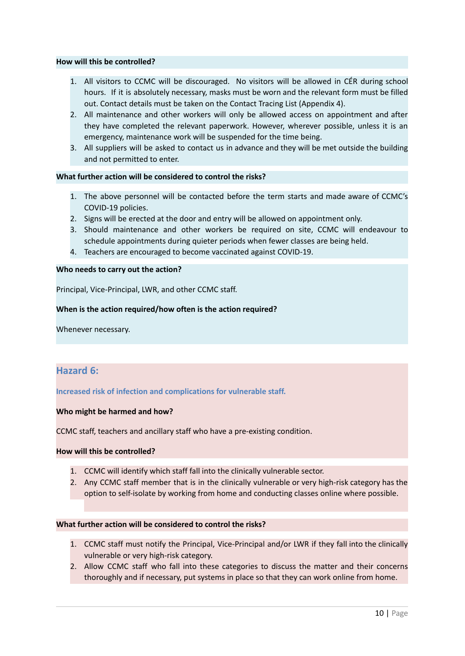### **How will this be controlled?**

- 1. All visitors to CCMC will be discouraged. No visitors will be allowed in CÉR during school hours. If it is absolutely necessary, masks must be worn and the relevant form must be filled out. Contact details must be taken on the Contact Tracing List (Appendix 4).
- 2. All maintenance and other workers will only be allowed access on appointment and after they have completed the relevant paperwork. However, wherever possible, unless it is an emergency, maintenance work will be suspended for the time being.
- 3. All suppliers will be asked to contact us in advance and they will be met outside the building and not permitted to enter.

### **What further action will be considered to control the risks?**

- 1. The above personnel will be contacted before the term starts and made aware of CCMC's COVID-19 policies.
- 2. Signs will be erected at the door and entry will be allowed on appointment only.
- 3. Should maintenance and other workers be required on site, CCMC will endeavour to schedule appointments during quieter periods when fewer classes are being held.
- 4. Teachers are encouraged to become vaccinated against COVID-19.

### **Who needs to carry out the action?**

Principal, Vice-Principal, LWR, and other CCMC staff.

### **When is the action required/how often is the action required?**

Whenever necessary.

### **Hazard 6:**

**Increased risk of infection and complications for vulnerable staff.**

### **Who might be harmed and how?**

CCMC staff, teachers and ancillary staff who have a pre-existing condition.

### **How will this be controlled?**

- 1. CCMC will identify which staff fall into the clinically vulnerable sector.
- 2. Any CCMC staff member that is in the clinically vulnerable or very high-risk category has the option to self-isolate by working from home and conducting classes online where possible.

### **What further action will be considered to control the risks?**

- 1. CCMC staff must notify the Principal, Vice-Principal and/or LWR if they fall into the clinically vulnerable or very high-risk category.
- 2. Allow CCMC staff who fall into these categories to discuss the matter and their concerns thoroughly and if necessary, put systems in place so that they can work online from home.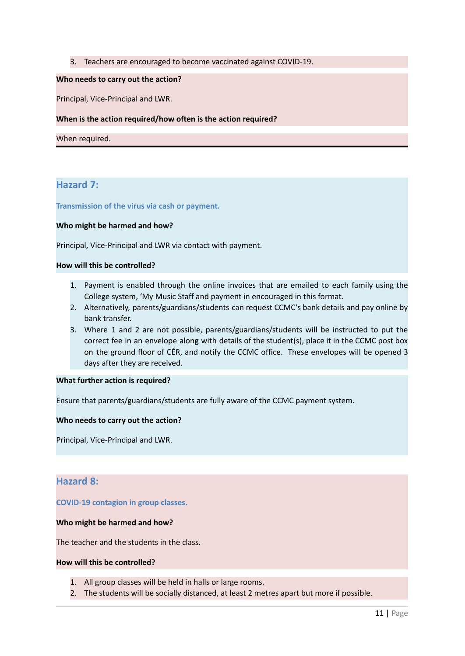3. Teachers are encouraged to become vaccinated against COVID-19.

### **Who needs to carry out the action?**

Principal, Vice-Principal and LWR.

**When is the action required/how often is the action required?**

When required.

### **Hazard 7:**

**Transmission of the virus via cash or payment.**

### **Who might be harmed and how?**

Principal, Vice-Principal and LWR via contact with payment.

### **How will this be controlled?**

- 1. Payment is enabled through the online invoices that are emailed to each family using the College system, 'My Music Staff and payment in encouraged in this format.
- 2. Alternatively, parents/guardians/students can request CCMC's bank details and pay online by bank transfer.
- 3. Where 1 and 2 are not possible, parents/guardians/students will be instructed to put the correct fee in an envelope along with details of the student(s), place it in the CCMC post box on the ground floor of CÉR, and notify the CCMC office. These envelopes will be opened 3 days after they are received.

### **What further action is required?**

Ensure that parents/guardians/students are fully aware of the CCMC payment system.

### **Who needs to carry out the action?**

Principal, Vice-Principal and LWR.

### **Hazard 8:**

### **COVID-19 contagion in group classes.**

### **Who might be harmed and how?**

The teacher and the students in the class.

### **How will this be controlled?**

- 1. All group classes will be held in halls or large rooms.
- 2. The students will be socially distanced, at least 2 metres apart but more if possible.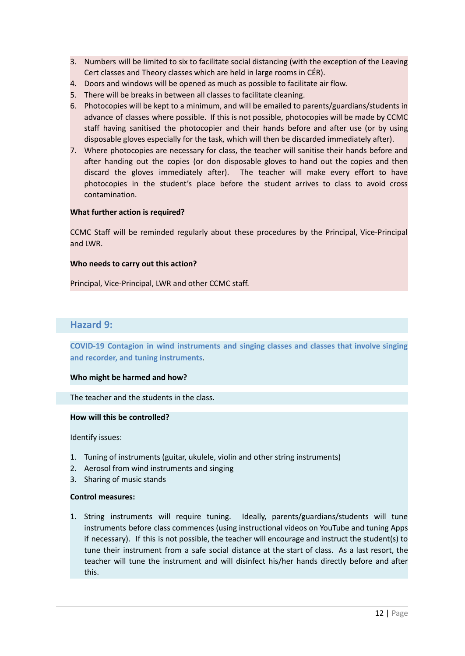- 3. Numbers will be limited to six to facilitate social distancing (with the exception of the Leaving Cert classes and Theory classes which are held in large rooms in CÉR).
- 4. Doors and windows will be opened as much as possible to facilitate air flow.
- 5. There will be breaks in between all classes to facilitate cleaning.
- 6. Photocopies will be kept to a minimum, and will be emailed to parents/guardians/students in advance of classes where possible. If this is not possible, photocopies will be made by CCMC staff having sanitised the photocopier and their hands before and after use (or by using disposable gloves especially for the task, which will then be discarded immediately after).
- 7. Where photocopies are necessary for class, the teacher will sanitise their hands before and after handing out the copies (or don disposable gloves to hand out the copies and then discard the gloves immediately after). The teacher will make every effort to have photocopies in the student's place before the student arrives to class to avoid cross contamination.

### **What further action is required?**

CCMC Staff will be reminded regularly about these procedures by the Principal, Vice-Principal and LWR.

### **Who needs to carry out this action?**

Principal, Vice-Principal, LWR and other CCMC staff.

### **Hazard 9:**

**COVID-19 Contagion in wind instruments and singing classes and classes that involve singing and recorder, and tuning instruments**.

### **Who might be harmed and how?**

The teacher and the students in the class.

### **How will this be controlled?**

Identify issues:

- 1. Tuning of instruments (guitar, ukulele, violin and other string instruments)
- 2. Aerosol from wind instruments and singing
- 3. Sharing of music stands

### **Control measures:**

1. String instruments will require tuning. Ideally, parents/guardians/students will tune instruments before class commences (using instructional videos on YouTube and tuning Apps if necessary). If this is not possible, the teacher will encourage and instruct the student(s) to tune their instrument from a safe social distance at the start of class. As a last resort, the teacher will tune the instrument and will disinfect his/her hands directly before and after this.